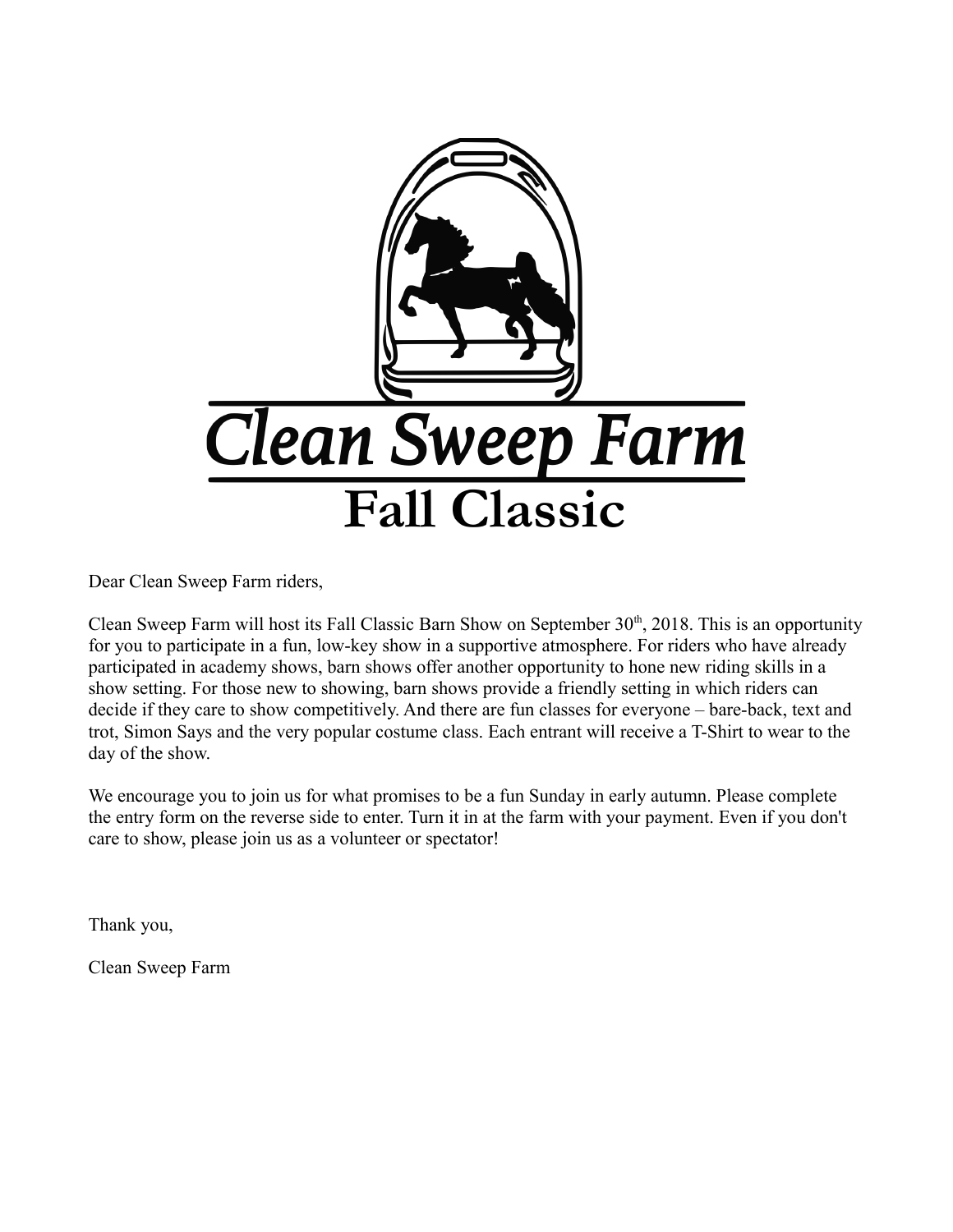

Dear Clean Sweep Farm riders,

Clean Sweep Farm will host its Fall Classic Barn Show on September  $30<sup>th</sup>$ , 2018. This is an opportunity for you to participate in a fun, low-key show in a supportive atmosphere. For riders who have already participated in academy shows, barn shows offer another opportunity to hone new riding skills in a show setting. For those new to showing, barn shows provide a friendly setting in which riders can decide if they care to show competitively. And there are fun classes for everyone – bare-back, text and trot, Simon Says and the very popular costume class. Each entrant will receive a T-Shirt to wear to the day of the show.

We encourage you to join us for what promises to be a fun Sunday in early autumn. Please complete the entry form on the reverse side to enter. Turn it in at the farm with your payment. Even if you don't care to show, please join us as a volunteer or spectator!

Thank you,

Clean Sweep Farm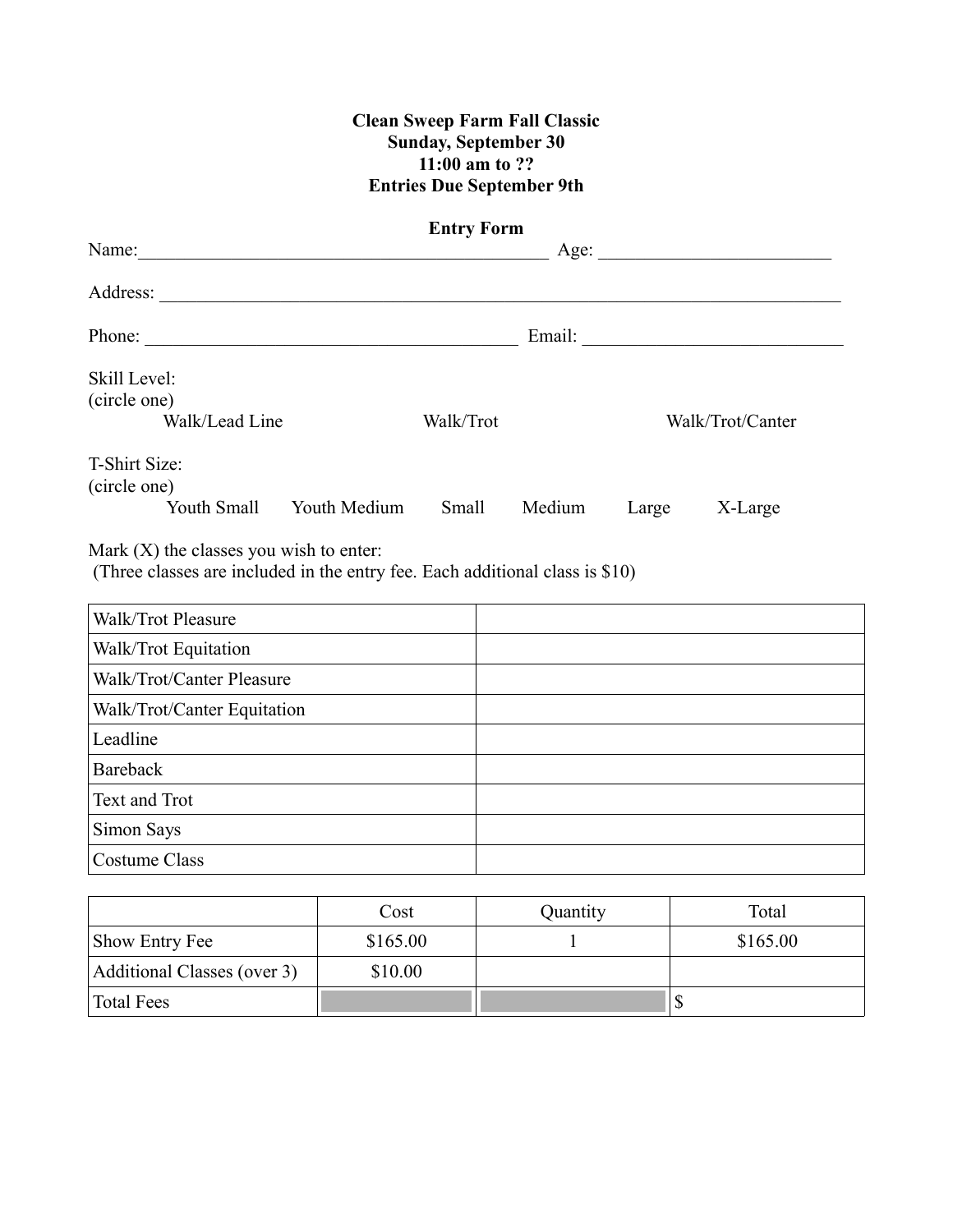### **Clean Sweep Farm Fall Classic Sunday, September 30 11:00 am to ?? Entries Due September 9th**

| <b>Entry Form</b>                                                                                                         |                                                 |           |       |                  |  |  |
|---------------------------------------------------------------------------------------------------------------------------|-------------------------------------------------|-----------|-------|------------------|--|--|
|                                                                                                                           | Age:                                            |           |       |                  |  |  |
|                                                                                                                           |                                                 |           |       |                  |  |  |
| Phone:                                                                                                                    |                                                 |           |       |                  |  |  |
| Skill Level:                                                                                                              |                                                 |           |       |                  |  |  |
| (circle one)                                                                                                              |                                                 |           |       |                  |  |  |
| Walk/Lead Line                                                                                                            |                                                 | Walk/Trot |       | Walk/Trot/Canter |  |  |
| T-Shirt Size:<br>(circle one)                                                                                             |                                                 |           |       |                  |  |  |
| Youth Small Youth Medium                                                                                                  | Small                                           | Medium    | Large | X-Large          |  |  |
| Mark $(X)$ the classes you wish to enter:<br>(Three classes are included in the entry fee. Each additional class is \$10) |                                                 |           |       |                  |  |  |
| Walk/Trot Pleasure                                                                                                        |                                                 |           |       |                  |  |  |
| Walk/Trot Equitation                                                                                                      |                                                 |           |       |                  |  |  |
| Walk/Trot/Canter Pleasure                                                                                                 | the contract of the contract of the contract of |           |       |                  |  |  |
| Walk/Trot/Canter Equitation                                                                                               |                                                 |           |       |                  |  |  |
| Leadline                                                                                                                  |                                                 |           |       |                  |  |  |
| Bareback                                                                                                                  |                                                 |           |       |                  |  |  |

|                             | Cost     | Quantity | Total    |
|-----------------------------|----------|----------|----------|
| <b>Show Entry Fee</b>       | \$165.00 |          | \$165.00 |
| Additional Classes (over 3) | \$10.00  |          |          |
| Total Fees                  |          |          |          |

Text and Trot

Simon Says Costume Class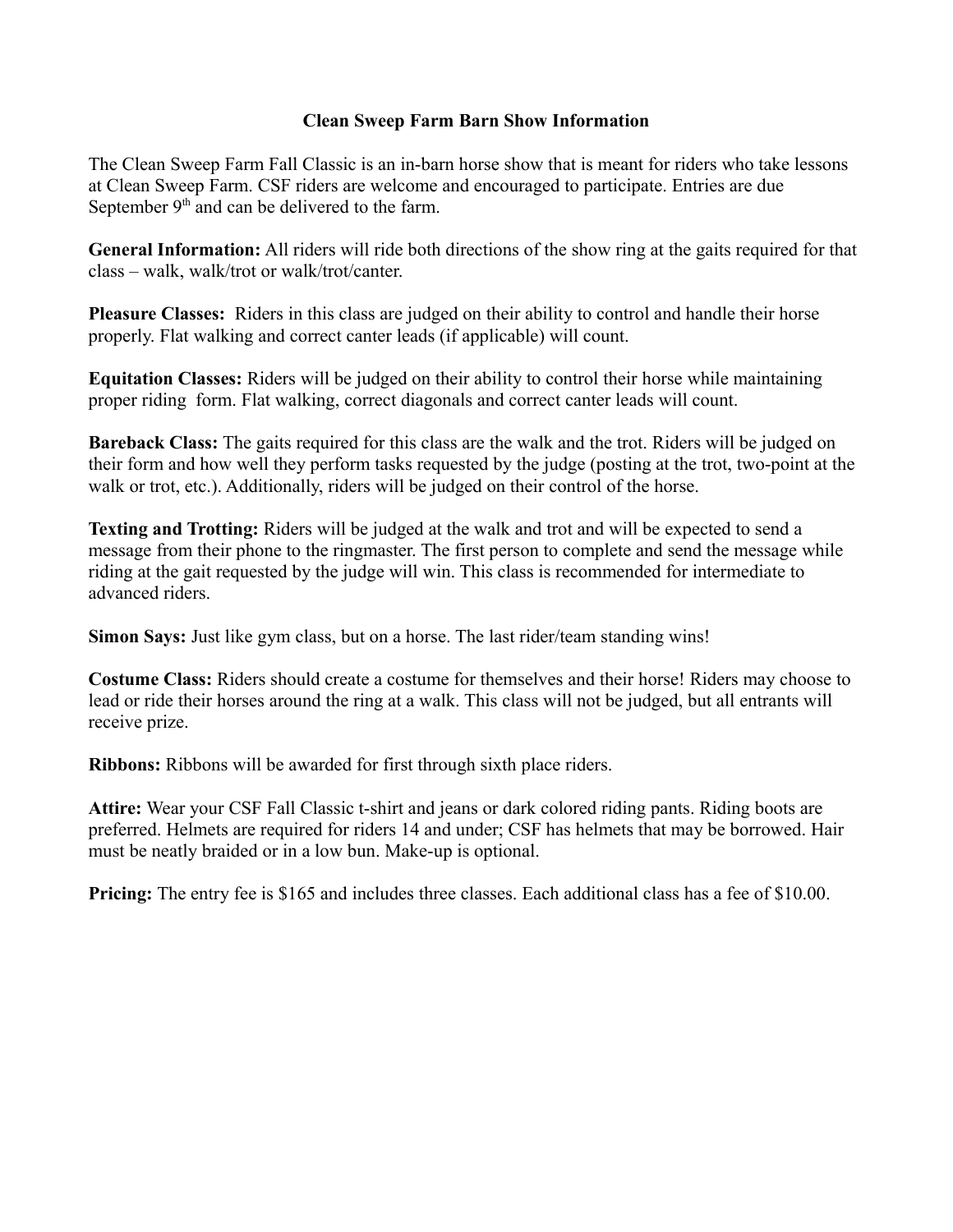#### **Clean Sweep Farm Barn Show Information**

The Clean Sweep Farm Fall Classic is an in-barn horse show that is meant for riders who take lessons at Clean Sweep Farm. CSF riders are welcome and encouraged to participate. Entries are due September  $9<sup>th</sup>$  and can be delivered to the farm.

**General Information:** All riders will ride both directions of the show ring at the gaits required for that class – walk, walk/trot or walk/trot/canter.

**Pleasure Classes:** Riders in this class are judged on their ability to control and handle their horse properly. Flat walking and correct canter leads (if applicable) will count.

**Equitation Classes:** Riders will be judged on their ability to control their horse while maintaining proper riding form. Flat walking, correct diagonals and correct canter leads will count.

**Bareback Class:** The gaits required for this class are the walk and the trot. Riders will be judged on their form and how well they perform tasks requested by the judge (posting at the trot, two-point at the walk or trot, etc.). Additionally, riders will be judged on their control of the horse.

**Texting and Trotting:** Riders will be judged at the walk and trot and will be expected to send a message from their phone to the ringmaster. The first person to complete and send the message while riding at the gait requested by the judge will win. This class is recommended for intermediate to advanced riders.

**Simon Says:** Just like gym class, but on a horse. The last rider/team standing wins!

**Costume Class:** Riders should create a costume for themselves and their horse! Riders may choose to lead or ride their horses around the ring at a walk. This class will not be judged, but all entrants will receive prize.

**Ribbons:** Ribbons will be awarded for first through sixth place riders.

**Attire:** Wear your CSF Fall Classic t-shirt and jeans or dark colored riding pants. Riding boots are preferred. Helmets are required for riders 14 and under; CSF has helmets that may be borrowed. Hair must be neatly braided or in a low bun. Make-up is optional.

**Pricing:** The entry fee is \$165 and includes three classes. Each additional class has a fee of \$10.00.